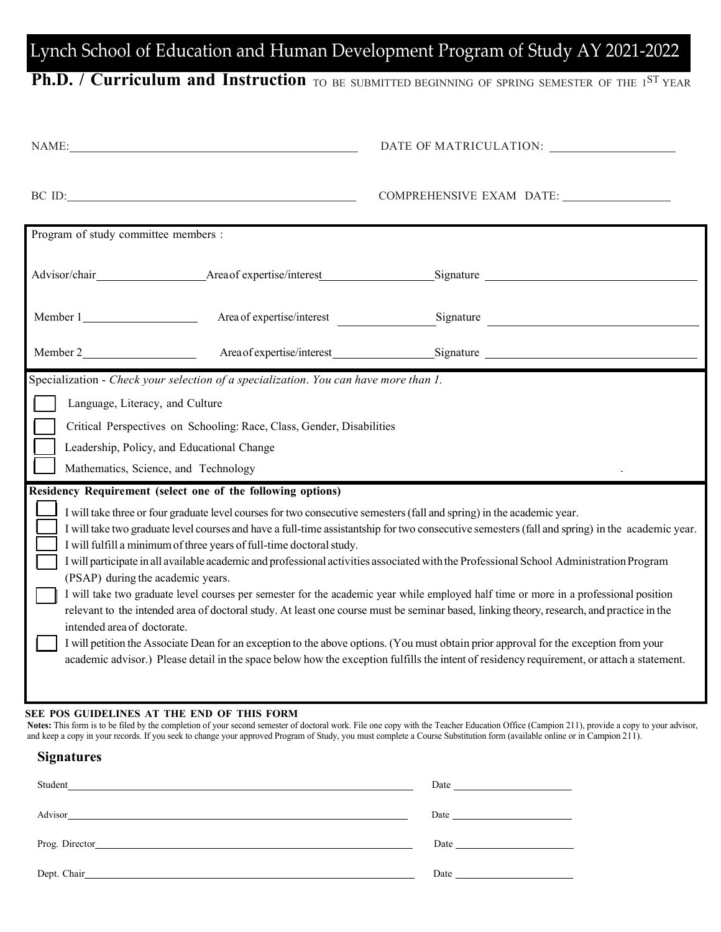# Lynch School of Education and Human Development Program of Study AY 2021-2022

## **Ph.D. / Curriculum and Instruction** TO BE SUBMITTED BEGINNING OF SPRING SEMESTER OF THE 1<sup>ST</sup> YEAR

| NAME:                                                                                                                                                                                                                          |                                                                       |                                                                                                                                                                                                                                                                                                                                                                                                                                                                                                                                                                                                                                                                                                                                                                                                                                                                                                                                                                                                   |  |  |
|--------------------------------------------------------------------------------------------------------------------------------------------------------------------------------------------------------------------------------|-----------------------------------------------------------------------|---------------------------------------------------------------------------------------------------------------------------------------------------------------------------------------------------------------------------------------------------------------------------------------------------------------------------------------------------------------------------------------------------------------------------------------------------------------------------------------------------------------------------------------------------------------------------------------------------------------------------------------------------------------------------------------------------------------------------------------------------------------------------------------------------------------------------------------------------------------------------------------------------------------------------------------------------------------------------------------------------|--|--|
| BC ID: The contract of the contract of the contract of the contract of the contract of the contract of the contract of the contract of the contract of the contract of the contract of the contract of the contract of the con |                                                                       | COMPREHENSIVE EXAM DATE:                                                                                                                                                                                                                                                                                                                                                                                                                                                                                                                                                                                                                                                                                                                                                                                                                                                                                                                                                                          |  |  |
| Program of study committee members :                                                                                                                                                                                           |                                                                       |                                                                                                                                                                                                                                                                                                                                                                                                                                                                                                                                                                                                                                                                                                                                                                                                                                                                                                                                                                                                   |  |  |
|                                                                                                                                                                                                                                |                                                                       |                                                                                                                                                                                                                                                                                                                                                                                                                                                                                                                                                                                                                                                                                                                                                                                                                                                                                                                                                                                                   |  |  |
|                                                                                                                                                                                                                                | Area of expertise/interest                                            | Signature <b>Container and Container and Container</b>                                                                                                                                                                                                                                                                                                                                                                                                                                                                                                                                                                                                                                                                                                                                                                                                                                                                                                                                            |  |  |
|                                                                                                                                                                                                                                |                                                                       |                                                                                                                                                                                                                                                                                                                                                                                                                                                                                                                                                                                                                                                                                                                                                                                                                                                                                                                                                                                                   |  |  |
| Language, Literacy, and Culture<br>Leadership, Policy, and Educational Change<br>Mathematics, Science, and Technology                                                                                                          | Critical Perspectives on Schooling: Race, Class, Gender, Disabilities |                                                                                                                                                                                                                                                                                                                                                                                                                                                                                                                                                                                                                                                                                                                                                                                                                                                                                                                                                                                                   |  |  |
| Residency Requirement (select one of the following options)<br>(PSAP) during the academic years.<br>intended area of doctorate.                                                                                                | I will fulfill a minimum of three years of full-time doctoral study.  | I will take three or four graduate level courses for two consecutive semesters (fall and spring) in the academic year.<br>I will take two graduate level courses and have a full-time assistantship for two consecutive semesters (fall and spring) in the academic year.<br>I will participate in all available academic and professional activities associated with the Professional School Administration Program<br>I will take two graduate level courses per semester for the academic year while employed half time or more in a professional position<br>relevant to the intended area of doctoral study. At least one course must be seminar based, linking theory, research, and practice in the<br>I will petition the Associate Dean for an exception to the above options. (You must obtain prior approval for the exception from your<br>academic advisor.) Please detail in the space below how the exception fulfills the intent of residency requirement, or attach a statement. |  |  |
| SEE POS GUIDELINES AT THE END OF THIS FORM                                                                                                                                                                                     |                                                                       |                                                                                                                                                                                                                                                                                                                                                                                                                                                                                                                                                                                                                                                                                                                                                                                                                                                                                                                                                                                                   |  |  |

**Notes:** This form is to be filed by the completion of your second semester of doctoral work. File one copy with the Teacher Education Office (Campion 211), provide a copy to your advisor, and keep a copy in your records. If you seek to change your approved Program of Study, you must complete a Course Substitution form (available online or in Campion 211).

#### **Signatures**

| Student<br><u> 1989 - John Stone, Amerikaansk politiker († 1989)</u>                                                                                                                                                           | Date and the same state of the state of the state of the state of the state of the state of the state of the state of the state of the state of the state of the state of the state of the state of the state of the state of |
|--------------------------------------------------------------------------------------------------------------------------------------------------------------------------------------------------------------------------------|-------------------------------------------------------------------------------------------------------------------------------------------------------------------------------------------------------------------------------|
| Advisor                                                                                                                                                                                                                        |                                                                                                                                                                                                                               |
|                                                                                                                                                                                                                                | Date <u>__________</u>                                                                                                                                                                                                        |
| Dept. Chair and the contract of the contract of the contract of the contract of the contract of the contract of the contract of the contract of the contract of the contract of the contract of the contract of the contract o | Date and the same state of the state of the state of the state of the state of the state of the state of the state of the state of the state of the state of the state of the state of the state of the state of the state of |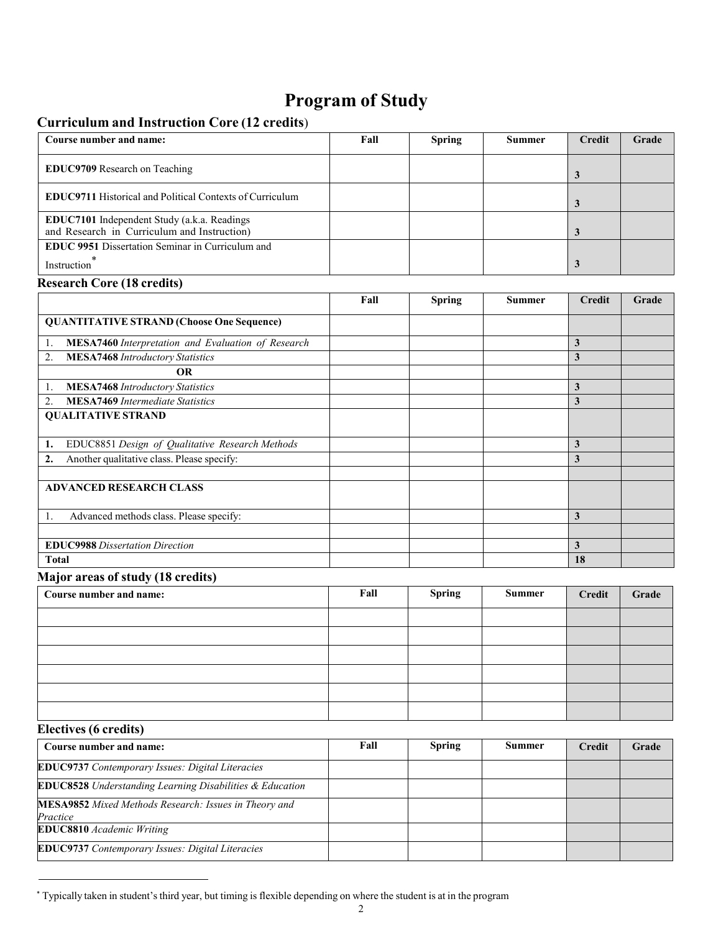## **Program of Study**

### **Curriculum and Instruction Core (12 credits**)

| Course number and name:                                                                    | Fall | <b>Spring</b> | <b>Summer</b> | Credit | Grade |
|--------------------------------------------------------------------------------------------|------|---------------|---------------|--------|-------|
| EDUC9709 Research on Teaching                                                              |      |               |               |        |       |
| <b>EDUC9711 Historical and Political Contexts of Curriculum</b>                            |      |               |               |        |       |
| EDUC7101 Independent Study (a.k.a. Readings<br>and Research in Curriculum and Instruction) |      |               |               |        |       |
| <b>EDUC 9951 Dissertation Seminar in Curriculum and</b><br>Instruction                     |      |               |               |        |       |

#### **Research Core (18 credits)**

|                                                                 | Fall | <b>Spring</b> | <b>Summer</b> | <b>Credit</b> | Grade |
|-----------------------------------------------------------------|------|---------------|---------------|---------------|-------|
| <b>QUANTITATIVE STRAND (Choose One Sequence)</b>                |      |               |               |               |       |
| <b>MESA7460</b> Interpretation and Evaluation of Research<br>1. |      |               |               | 3             |       |
| 2.<br><b>MESA7468</b> Introductory Statistics                   |      |               |               | 3             |       |
| <b>OR</b>                                                       |      |               |               |               |       |
| <b>MESA7468</b> Introductory Statistics<br>1.                   |      |               |               | 3             |       |
| <b>MESA7469</b> Intermediate Statistics<br>2.                   |      |               |               | 3             |       |
| <b>QUALITATIVE STRAND</b>                                       |      |               |               |               |       |
| EDUC8851 Design of Qualitative Research Methods<br>1.           |      |               |               | 3             |       |
| Another qualitative class. Please specify:<br>2.                |      |               |               | 3             |       |
|                                                                 |      |               |               |               |       |
| <b>ADVANCED RESEARCH CLASS</b>                                  |      |               |               |               |       |
| Advanced methods class. Please specify:<br>1.                   |      |               |               | 3             |       |
|                                                                 |      |               |               |               |       |
| <b>EDUC9988</b> Dissertation Direction                          |      |               |               | 3             |       |
| <b>Total</b>                                                    |      |               |               | 18            |       |

### **Major areas of study (18 credits)**

| Course number and name: | Fall | <b>Spring</b> | <b>Summer</b> | <b>Credit</b> | Grade |
|-------------------------|------|---------------|---------------|---------------|-------|
|                         |      |               |               |               |       |
|                         |      |               |               |               |       |
|                         |      |               |               |               |       |
|                         |      |               |               |               |       |
|                         |      |               |               |               |       |
|                         |      |               |               |               |       |

### **Electives (6 credits)**

| Course number and name:                                                  | Fall | <b>Spring</b> | <b>Summer</b> | Credit | Grade |
|--------------------------------------------------------------------------|------|---------------|---------------|--------|-------|
| EDUC9737 Contemporary Issues: Digital Literacies                         |      |               |               |        |       |
| <b>EDUC8528</b> Understanding Learning Disabilities & Education          |      |               |               |        |       |
| <b>MESA9852</b> Mixed Methods Research: Issues in Theory and<br>Practice |      |               |               |        |       |
| <b>EDUC8810</b> Academic Writing                                         |      |               |               |        |       |
| <b>EDUC9737</b> Contemporary Issues: Digital Literacies                  |      |               |               |        |       |

<sup>\*</sup> Typically taken in student's third year, but timing is flexible depending on where the student is at in the program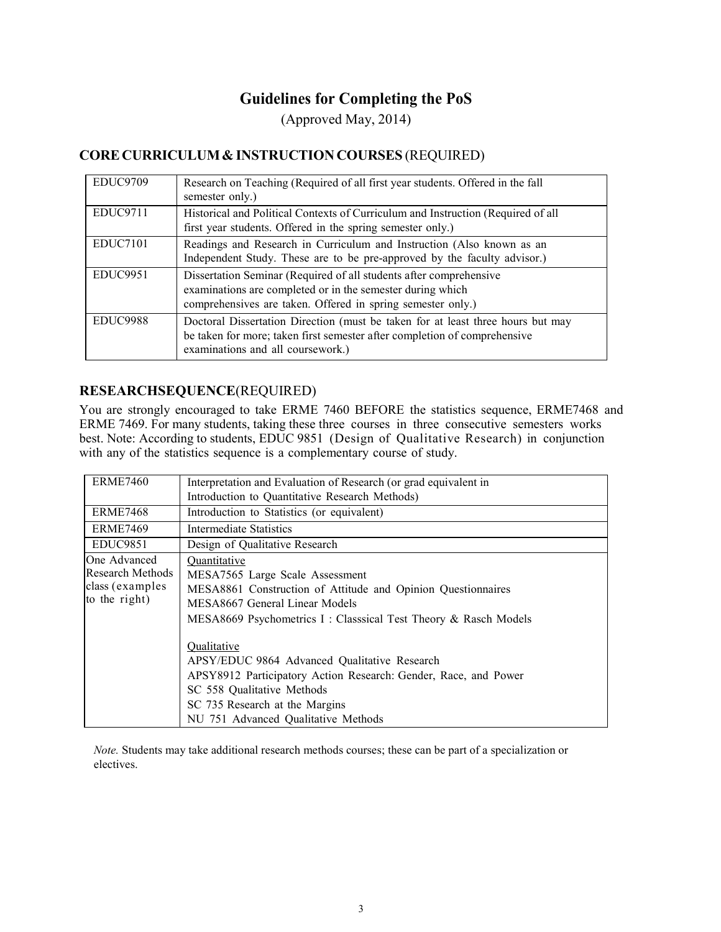## **Guidelines for Completing the PoS**

(Approved May, 2014)

### **CORE CURRICULUM & INSTRUCTION COURSES** (REQUIRED)

| EDUC9709        | Research on Teaching (Required of all first year students. Offered in the fall<br>semester only.)                                                                                                 |
|-----------------|---------------------------------------------------------------------------------------------------------------------------------------------------------------------------------------------------|
| <b>EDUC9711</b> | Historical and Political Contexts of Curriculum and Instruction (Required of all<br>first year students. Offered in the spring semester only.)                                                    |
| EDUC7101        | Readings and Research in Curriculum and Instruction (Also known as an<br>Independent Study. These are to be pre-approved by the faculty advisor.)                                                 |
| EDUC9951        | Dissertation Seminar (Required of all students after comprehensive<br>examinations are completed or in the semester during which<br>comprehensives are taken. Offered in spring semester only.)   |
| <b>EDUC9988</b> | Doctoral Dissertation Direction (must be taken for at least three hours but may<br>be taken for more; taken first semester after completion of comprehensive<br>examinations and all coursework.) |

### **RESEARCHSEQUENCE**(REQUIRED)

You are strongly encouraged to take ERME 7460 BEFORE the statistics sequence, ERME7468 and ERME 7469. For many students, taking these three courses in three consecutive semesters works best. Note: According to students, EDUC 9851 (Design of Qualitative Research) in conjunction with any of the statistics sequence is a complementary course of study.

| <b>ERME7460</b>  | Interpretation and Evaluation of Research (or grad equivalent in |
|------------------|------------------------------------------------------------------|
|                  | Introduction to Quantitative Research Methods)                   |
| ERME7468         | Introduction to Statistics (or equivalent)                       |
| ERME7469         | Intermediate Statistics                                          |
| EDUC9851         | Design of Qualitative Research                                   |
| One Advanced     | Quantitative                                                     |
| Research Methods | MESA7565 Large Scale Assessment                                  |
| class (examples  | MESA8861 Construction of Attitude and Opinion Questionnaires     |
| to the right)    | MESA8667 General Linear Models                                   |
|                  | MESA8669 Psychometrics I: Classsical Test Theory & Rasch Models  |
|                  |                                                                  |
|                  | Qualitative                                                      |
|                  | APSY/EDUC 9864 Advanced Qualitative Research                     |
|                  | APSY8912 Participatory Action Research: Gender, Race, and Power  |
|                  | SC 558 Qualitative Methods                                       |
|                  | SC 735 Research at the Margins                                   |
|                  | NU 751 Advanced Qualitative Methods                              |

*Note.* Students may take additional research methods courses; these can be part of a specialization or electives.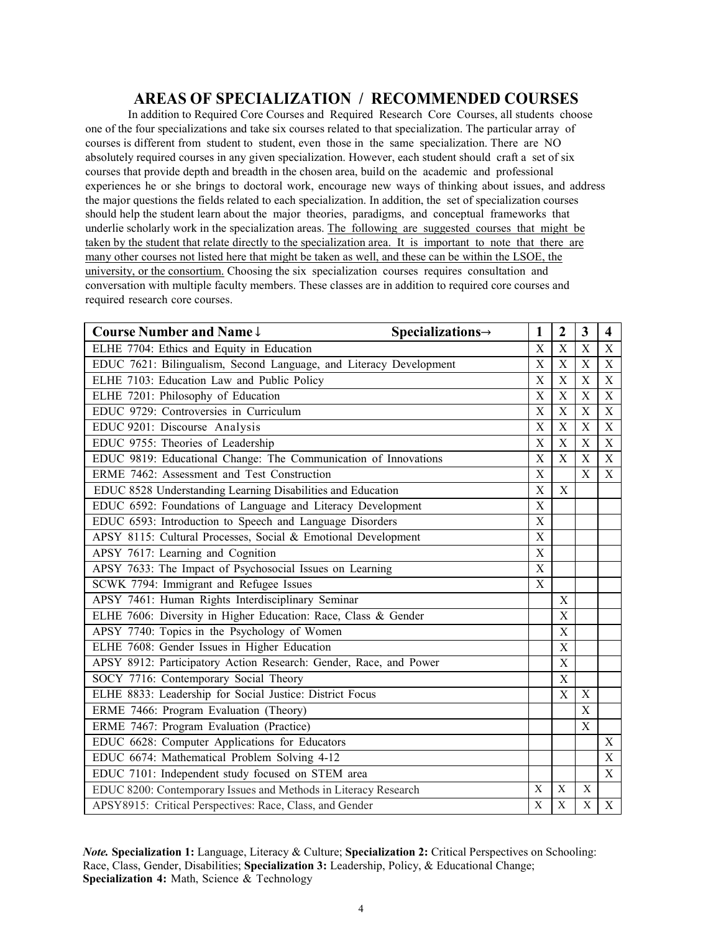## **AREAS OF SPECIALIZATION / RECOMMENDED COURSES**

In addition to Required Core Courses and Required Research Core Courses, all students choose one of the four specializations and take six courses related to that specialization. The particular array of courses is different from student to student, even those in the same specialization. There are NO absolutely required courses in any given specialization. However, each student should craft a set of six courses that provide depth and breadth in the chosen area, build on the academic and professional experiences he or she brings to doctoral work, encourage new ways of thinking about issues, and address the major questions the fields related to each specialization. In addition, the set of specialization courses should help the student learn about the major theories, paradigms, and conceptual frameworks that underlie scholarly work in the specialization areas. The following are suggested courses that might be taken by the student that relate directly to the specialization area. It is important to note that there are many other courses not listed here that might be taken as well, and these can be within the LSOE, the university, or the consortium. Choosing the six specialization courses requires consultation and conversation with multiple faculty members. These classes are in addition to required core courses and required research core courses.

| Course Number and Name $\downarrow$                                | $Specializations \rightarrow$<br>1 | $\overline{2}$            | 3           | 4                         |
|--------------------------------------------------------------------|------------------------------------|---------------------------|-------------|---------------------------|
| ELHE 7704: Ethics and Equity in Education                          | X                                  | X                         | X           | $\mathbf X$               |
| EDUC 7621: Bilingualism, Second Language, and Literacy Development | X                                  | $\overline{X}$            | $\mathbf X$ | $\boldsymbol{\mathrm{X}}$ |
| ELHE 7103: Education Law and Public Policy                         | X                                  | X                         | $\mathbf X$ | X                         |
| ELHE 7201: Philosophy of Education                                 | X                                  | X                         | X           | X                         |
| EDUC 9729: Controversies in Curriculum                             | X                                  | X                         | $\mathbf X$ | $\mathbf X$               |
| EDUC 9201: Discourse Analysis                                      | X                                  | X                         | $\mathbf X$ | $\mathbf X$               |
| EDUC 9755: Theories of Leadership                                  | X                                  | $\boldsymbol{\mathrm{X}}$ | $\mathbf X$ | $\mathbf X$               |
| EDUC 9819: Educational Change: The Communication of Innovations    | X                                  | $\boldsymbol{\mathrm{X}}$ | $\mathbf X$ | $\mathbf X$               |
| ERME 7462: Assessment and Test Construction                        | X                                  |                           | X           | X                         |
| EDUC 8528 Understanding Learning Disabilities and Education        | X                                  | X                         |             |                           |
| EDUC 6592: Foundations of Language and Literacy Development        | $\boldsymbol{\mathrm{X}}$          |                           |             |                           |
| EDUC 6593: Introduction to Speech and Language Disorders           | $\mathbf X$                        |                           |             |                           |
| APSY 8115: Cultural Processes, Social & Emotional Development      | $\mathbf X$                        |                           |             |                           |
| APSY 7617: Learning and Cognition                                  | $\mathbf X$                        |                           |             |                           |
| APSY 7633: The Impact of Psychosocial Issues on Learning           | $\mathbf X$                        |                           |             |                           |
| SCWK 7794: Immigrant and Refugee Issues                            | $\mathbf X$                        |                           |             |                           |
| APSY 7461: Human Rights Interdisciplinary Seminar                  |                                    | X                         |             |                           |
| ELHE 7606: Diversity in Higher Education: Race, Class & Gender     |                                    | X                         |             |                           |
| APSY 7740: Topics in the Psychology of Women                       |                                    | X                         |             |                           |
| ELHE 7608: Gender Issues in Higher Education                       |                                    | $\mathbf X$               |             |                           |
| APSY 8912: Participatory Action Research: Gender, Race, and Power  |                                    | $\overline{X}$            |             |                           |
| SOCY 7716: Contemporary Social Theory                              |                                    | $\mathbf X$               |             |                           |
| ELHE 8833: Leadership for Social Justice: District Focus           |                                    | X                         | $\mathbf X$ |                           |
| ERME 7466: Program Evaluation (Theory)                             |                                    |                           | $\mathbf X$ |                           |
| ERME 7467: Program Evaluation (Practice)                           |                                    |                           | $\mathbf X$ |                           |
| EDUC 6628: Computer Applications for Educators                     |                                    |                           |             | X                         |
| EDUC 6674: Mathematical Problem Solving 4-12                       |                                    |                           |             | $\mathbf X$               |
| EDUC 7101: Independent study focused on STEM area                  |                                    |                           |             | X                         |
| EDUC 8200: Contemporary Issues and Methods in Literacy Research    | X                                  | $\mathbf X$               | X           |                           |
| APSY8915: Critical Perspectives: Race, Class, and Gender           | $\mathbf X$                        | $\overline{\mathbf{X}}$   | $\mathbf X$ | $\mathbf X$               |

*Note.* **Specialization 1:** Language, Literacy & Culture; **Specialization 2:** Critical Perspectives on Schooling: Race, Class, Gender, Disabilities; **Specialization 3:** Leadership, Policy, & Educational Change; **Specialization 4:** Math, Science & Technology